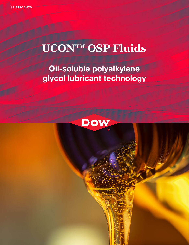# **UCON™ OSP Fluids**

## **Oil-soluble polyalkylene glycol lubricant technology**

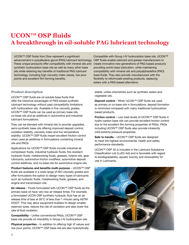### **UCON™ OSP fluids A breakthrough in oil-soluble PAG lubricant technology**

UCON™ OSP fluids from Dow represent a significant advancement in polyalkylene glycol (PAG) lubricant technology. OSP fluids enable lubricant and grease manufacturers to These unique products offer compatibility with mineral oils and synthetic hydrocarbon base oils as well as many other base oils while retaining key benefits of traditional PAG lubricant technology, including high viscosity index values, low pour points and excellent film forming benefits.

**Product description**

UCON™ OSP fluids are oil-soluble base fluids that offer the historical advantages of PAG-based synthetic lubricant technology without past compatibility limitations with hydrocarbon oils. Available in five viscosity grades, UCON™ OSP fluids can be used as primary base oils, co-base oils and as additives in automotive and industrial lubricant formulations.

They can be blended with mineral oils to provide upgraded, semi-synthetic base oils offering improved deposit control, oxidation stability, viscosity index and low temperature stability. UCON™ OSP fluids impart excellent friction control when used as additives in formulations containing mineral oils and PAOs.

Applications for UCON™ OSP fluids include industrial air compressor fluids, industrial hydraulic fluids, fire-resistant hydraulic fluids, metalworking fluids, greases, turbine oils, gear lubricants, automotive friction modifiers, automotive deposit control additives, and co-base oils for automotive engine oils.

**Product features and benefits multi-purpose** – UCON™ OSP fluids are available in a wide range of ISO viscosity grades and offer formulators the option to design many types of lubricants such as hydraulic fluids, metalworking fluids, greases, and engine and transmission oils.

**Air release** – Fluids formulated with UCON™ OSP fluids as the primary base oil have very low air release times. For example, a formulated UCON OSP synthetic hydraulic fluid has an air release time of less at 50°C of less than 1 minute using ASTM D3427. This may allow equipment builders to design smaller reservoir sizes, reduce the risk of cavitation and also lower the rate of fluid oxidation.

**Compatibility** – Unlike conventional PAGs, UCON™ OSP base oils provide oil miscibility in Group I-IV hydrocarbon oils.

**Physical properties** – In addition to offering high VI values and low pour points, UCON™ OSP base oils are also hydrolytically

Compatible with Group I-IV hydrocarbon base oils, UCON™ create innovative new generations of PAG-based products providing world class lubrication, while maintaining compatibility with mineral oils and polyalphaolefins (PAO) base fluids. They also provide manufacturers with the flexibility to reformulate existing products, replacing esters with a PAG-based alternative.

stable, unlike chemistries such as synthetic esters and vegetable oils.

**Deposit control** – When UCON™ OSP fluids are used as primary or co-base oils in formulations, deposit formation is minimized compared with many traditional hydrocarbon based products.

**Friction control** – Low treat levels of UCON™ OSP fluids in hydro-carbon base oils can provide excellent friction control due to the excellent film forming properties of PAGs. PAGs including UCON™ OSP fluids also provide inherently mild extreme pressure properties.

**Safe to handle** – UCON™ OSP fluids are designed to meet the highest environmental, health and safety performance standards.

UCON™ OSP 32 is included in the Lubricant Substance Classification List (LuSC-list) and is favorable with regard to biodegradability, aquatic toxicity and renewability for use in Lubricants.

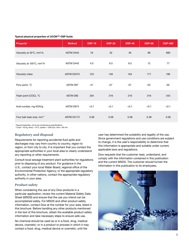#### **Typical physical properties of UCON™ OSP fluids**

| Property*                              | <b>Method</b> | <b>OSP-18</b> | <b>OSP-32</b> | <b>OSP-46</b> | <b>OSP-68</b> | <b>OSP-680</b> |
|----------------------------------------|---------------|---------------|---------------|---------------|---------------|----------------|
| Viscosity at 40°C, mm <sup>2</sup> /s  | ASTM D445     | 18            | 32            | 46            | 68            | 680            |
| Viscosity at 100°C, mm <sup>2</sup> /s | ASTM D445     | 4.0           | 6.5           | 8.5           | 12            | 77             |
| Viscosity index                        | ASTM D2270    | 123           | 146           | 164           | 171           | 196            |
| Pour point, °C                         | ASTM D97      | $-41$         | $-57$         | $-57$         | -53           | $-30$          |
| Flash point (COC), °C                  | ASTM D92      | 204           | 216           | 216           | 216           | 243            |
| Acid number, mg KOH/g                  | ASTM D974     | < 0.1         | < 0.1         | < 0.1         | < 0.1         | < 0.1          |
| Four ball wear scar, mm <sup>**</sup>  | ASTM D4172    | 0.58          | 0.58          | 0.58          | 0.48          | 0.38           |

 \*Typical properties, not to be construed as specifications. \*\*Load = 40 kg, temp =  $75^{\circ}$ C, speed =  $1200$  rpm, time = 60 min

#### **Regulatory and disposal**

Requirements for reporting accidental fluid spills and discharges may vary from country to country, region to region, or from city to city. It is important that you contact the appropriate authorities in your local area to clearly understand any reporting or other requirements.

Consult local sewage treatment plant authorities for regulations prior to disposing of any product. For guidance in the U.S., contact your local Water Board, regional office of the Environmental Protection Agency, or the appropriate regulatory authority. In other nations, contact the appropriate regulatory authority in your area.

#### **Product safety**

When considering the use of any Dow products in a particular application, review the current Material Safety Data Sheet (MSDS) and ensure that the use you intend can be accomplished safely. For MSDS and other product safety information, contact Dow at the number for your area, listed in this brochure. Before handling any other products mentioned in the text of this brochure, obtain the available product safety information and take necessary steps to ensure safe use.

No chemical should be used as or in a food, drug, medical device, cosmetic; or in a product or process in which it may contact a food, drug, medical device or cosmetic; until the

user has determined the suitability and legality of the use. Since government regulations and use conditions are subject to change, it is the user's responsibility to determine that this information is appropriate and suitable under current, applicable laws and regulations.

Dow requests that the customer read, understand, and comply with the information contained in this publication and the current MSDS. The customer should furnish the information in this publication to its employees,